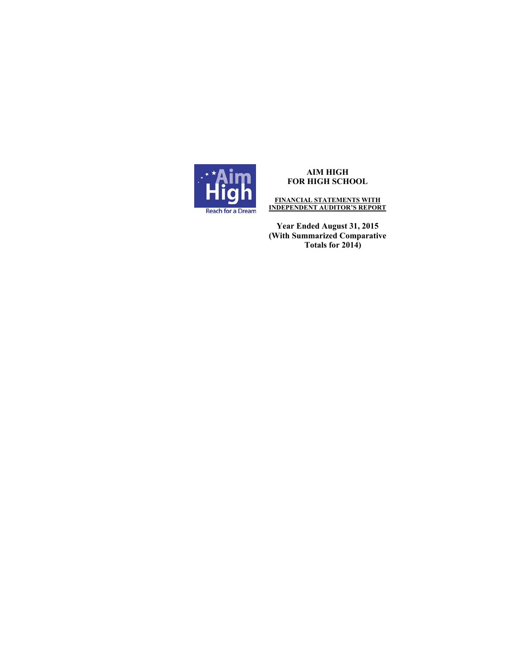

**FINANCIAL STATEMENTS WITH INDEPENDENT AUDITOR'S REPORT** 

**Year Ended August 31, 2015 (With Summarized Comparative Totals for 2014)**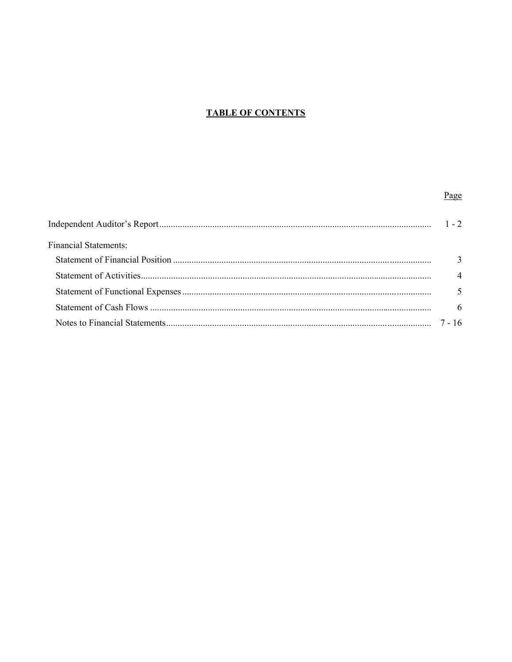# **TABLE OF CONTENTS**

# Page

| <b>Financial Statements:</b> |                             |
|------------------------------|-----------------------------|
|                              |                             |
|                              | $\boldsymbol{\vartriangle}$ |
|                              |                             |
|                              |                             |
|                              | 7 - 16                      |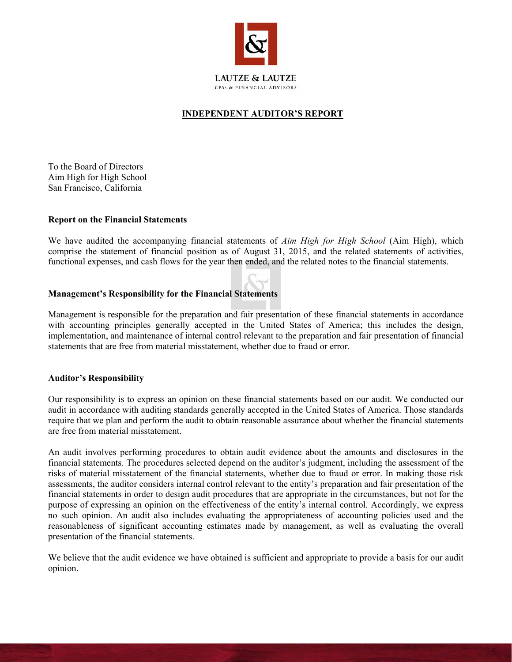

# **INDEPENDENT AUDITOR'S REPORT**

To the Board of Directors Aim High for High School San Francisco, California

# **Report on the Financial Statements**

We have audited the accompanying financial statements of *Aim High for High School* (Aim High), which comprise the statement of financial position as of August 31, 2015, and the related statements of activities, functional expenses, and cash flows for the year then ended, and the related notes to the financial statements.

# **Management's Responsibility for the Financial Statements**

Management is responsible for the preparation and fair presentation of these financial statements in accordance with accounting principles generally accepted in the United States of America; this includes the design, implementation, and maintenance of internal control relevant to the preparation and fair presentation of financial statements that are free from material misstatement, whether due to fraud or error.

#### **Auditor's Responsibility**

Our responsibility is to express an opinion on these financial statements based on our audit. We conducted our audit in accordance with auditing standards generally accepted in the United States of America. Those standards require that we plan and perform the audit to obtain reasonable assurance about whether the financial statements are free from material misstatement.

An audit involves performing procedures to obtain audit evidence about the amounts and disclosures in the financial statements. The procedures selected depend on the auditor's judgment, including the assessment of the risks of material misstatement of the financial statements, whether due to fraud or error. In making those risk assessments, the auditor considers internal control relevant to the entity's preparation and fair presentation of the financial statements in order to design audit procedures that are appropriate in the circumstances, but not for the purpose of expressing an opinion on the effectiveness of the entity's internal control. Accordingly, we express no such opinion. An audit also includes evaluating the appropriateness of accounting policies used and the reasonableness of significant accounting estimates made by management, as well as evaluating the overall presentation of the financial statements.

We believe that the audit evidence we have obtained is sufficient and appropriate to provide a basis for our audit opinion.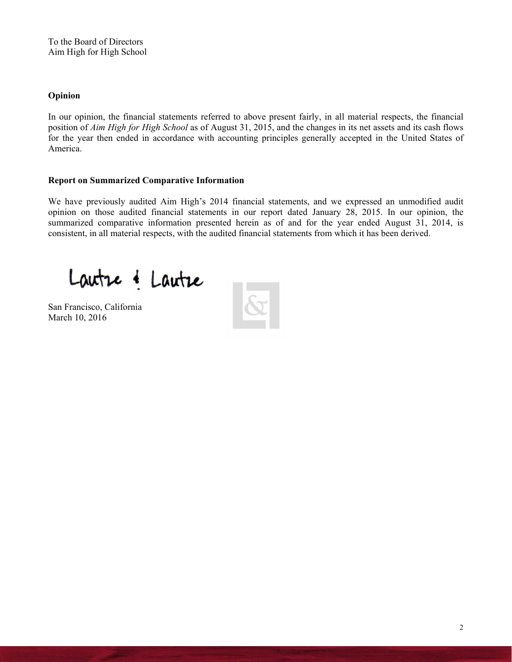To the Board of Directors Aim High for High School

# **Opinion**

In our opinion, the financial statements referred to above present fairly, in all material respects, the financial position of *Aim High for High School* as of August 31, 2015, and the changes in its net assets and its cash flows for the year then ended in accordance with accounting principles generally accepted in the United States of America.

# **Report on Summarized Comparative Information**

We have previously audited Aim High's 2014 financial statements, and we expressed an unmodified audit opinion on those audited financial statements in our report dated January 28, 2015. In our opinion, the summarized comparative information presented herein as of and for the year ended August 31, 2014, is consistent, in all material respects, with the audited financial statements from which it has been derived.

Lautre & Lautre

San Francisco, California March 10, 2016

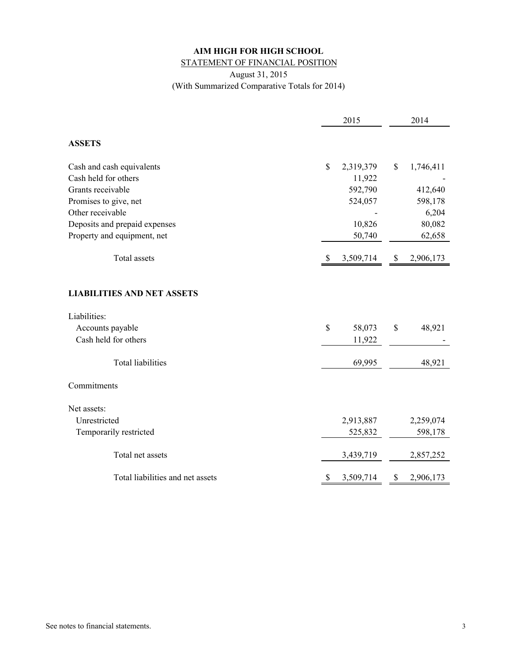# **AIM HIGH FOR HIGH SCHOOL** STATEMENT OF FINANCIAL POSITION

August 31, 2015 (With Summarized Comparative Totals for 2014)

|                                                                       | 2015            |         |              | 2014      |
|-----------------------------------------------------------------------|-----------------|---------|--------------|-----------|
| <b>ASSETS</b>                                                         |                 |         |              |           |
| Cash and cash equivalents                                             | \$<br>2,319,379 |         | $\mathbb{S}$ | 1,746,411 |
| Cash held for others                                                  |                 | 11,922  |              |           |
| Grants receivable                                                     |                 | 592,790 |              | 412,640   |
| Promises to give, net                                                 |                 | 524,057 |              | 598,178   |
| Other receivable                                                      |                 |         |              | 6,204     |
| Deposits and prepaid expenses                                         |                 | 10,826  |              | 80,082    |
| Property and equipment, net                                           |                 | 50,740  |              | 62,658    |
| <b>Total assets</b>                                                   | 3,509,714<br>-S |         | \$           | 2,906,173 |
| <b>LIABILITIES AND NET ASSETS</b><br>Liabilities:<br>Accounts payable | \$              | 58,073  | \$           | 48,921    |
| Cash held for others                                                  |                 | 11,922  |              |           |
| <b>Total liabilities</b>                                              |                 | 69,995  |              | 48,921    |
| Commitments                                                           |                 |         |              |           |
| Net assets:                                                           |                 |         |              |           |
| Unrestricted                                                          | 2,913,887       |         |              | 2,259,074 |
| Temporarily restricted                                                |                 | 525,832 |              | 598,178   |
| Total net assets                                                      | 3,439,719       |         |              | 2,857,252 |
| Total liabilities and net assets                                      | 3,509,714<br>S  |         | \$           | 2,906,173 |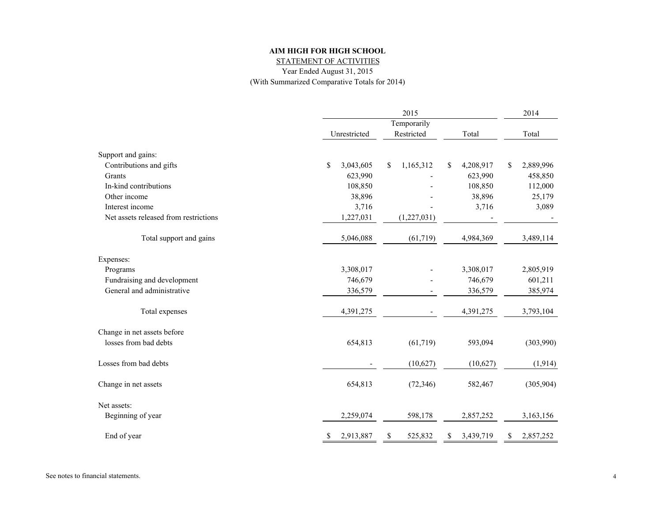STATEMENT OF ACTIVITIES

Year Ended August 31, 2015

(With Summarized Comparative Totals for 2014)

|                                       |                 | 2015            |                  | 2014            |  |
|---------------------------------------|-----------------|-----------------|------------------|-----------------|--|
|                                       |                 | Temporarily     |                  |                 |  |
|                                       | Unrestricted    | Restricted      | Total            | Total           |  |
| Support and gains:                    |                 |                 |                  |                 |  |
| Contributions and gifts               | \$<br>3,043,605 | 1,165,312<br>\$ | 4,208,917<br>\$  | 2,889,996<br>\$ |  |
| Grants                                | 623,990         |                 | 623,990          | 458,850         |  |
| In-kind contributions                 | 108,850         |                 | 108,850          | 112,000         |  |
| Other income                          | 38,896          |                 | 38,896           | 25,179          |  |
| Interest income                       | 3,716           |                 | 3,716            | 3,089           |  |
| Net assets released from restrictions | 1,227,031       | (1,227,031)     |                  |                 |  |
| Total support and gains               | 5,046,088       | (61, 719)       | 4,984,369        | 3,489,114       |  |
| Expenses:                             |                 |                 |                  |                 |  |
| Programs                              | 3,308,017       |                 | 3,308,017        | 2,805,919       |  |
| Fundraising and development           | 746,679         |                 | 746,679          | 601,211         |  |
| General and administrative            | 336,579         |                 | 336,579          | 385,974         |  |
| Total expenses                        | 4,391,275       |                 | 4,391,275        | 3,793,104       |  |
| Change in net assets before           |                 |                 |                  |                 |  |
| losses from bad debts                 | 654,813         | (61, 719)       | 593,094          | (303,990)       |  |
| Losses from bad debts                 |                 | (10,627)        | (10,627)         | (1, 914)        |  |
| Change in net assets                  | 654,813         | (72, 346)       | 582,467          | (305,904)       |  |
| Net assets:                           |                 |                 |                  |                 |  |
| Beginning of year                     | 2,259,074       | 598,178         | 2,857,252        | 3,163,156       |  |
| End of year                           | 2,913,887<br>S. | 525,832<br>S    | 3,439,719<br>\$. | 2,857,252<br>S. |  |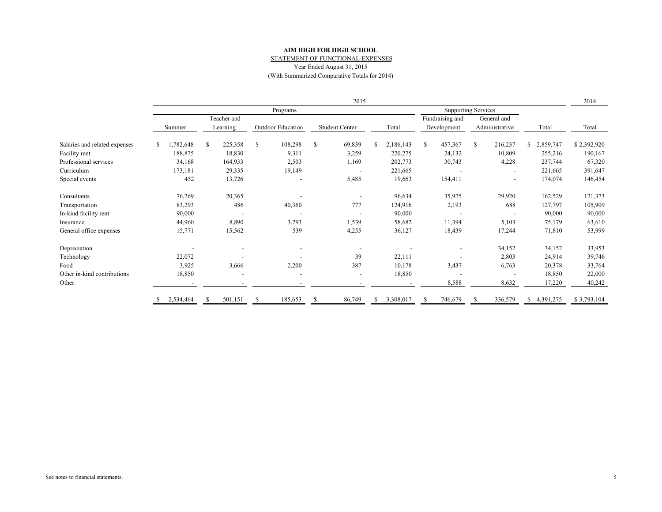#### **AIM HIGH FOR HIGH SCHOOL**STATEMENT OF FUNCTIONAL EXPENSES

Year Ended August 31, 2015

(With Summarized Comparative Totals for 2014)

|                               | 2015 |           |   |                          |               |                   |   |                       |    |           | 2014                       |                               |   |                          |    |             |             |
|-------------------------------|------|-----------|---|--------------------------|---------------|-------------------|---|-----------------------|----|-----------|----------------------------|-------------------------------|---|--------------------------|----|-------------|-------------|
|                               |      |           |   |                          |               | Programs          |   |                       |    |           | <b>Supporting Services</b> |                               |   |                          |    |             |             |
|                               |      |           |   | Teacher and              |               |                   |   |                       |    |           |                            | Fundraising and               |   | General and              |    |             |             |
|                               |      | Summer    |   | Learning                 |               | Outdoor Education |   | <b>Student Center</b> |    | Total     |                            | Administrative<br>Development |   |                          |    | Total       | Total       |
| Salaries and related expenses | S.   | ,782,648  | S | 225,358                  | <sup>\$</sup> | 108,298           | S | 69,839                | S. | 2,186,143 | S.                         | 457,367                       | S | 216,237                  |    | \$2,859,747 | \$2,392,920 |
| Facility rent                 |      | 188,875   |   | 18,830                   |               | 9,311             |   | 3,259                 |    | 220,275   |                            | 24,132                        |   | 10,809                   |    | 255,216     | 190,167     |
| Professional services         |      | 34,168    |   | 164,933                  |               | 2,503             |   | 1,169                 |    | 202,773   |                            | 30,743                        |   | 4,228                    |    | 237,744     | 67,320      |
| Curriculum                    |      | 173,181   |   | 29,335                   |               | 19,149            |   |                       |    | 221,665   |                            |                               |   |                          |    | 221,665     | 391,647     |
| Special events                |      | 452       |   | 13,726                   |               |                   |   | 5,485                 |    | 19,663    |                            | 154,411                       |   | $\overline{\phantom{a}}$ |    | 174,074     | 146,454     |
| Consultants                   |      | 76,269    |   | 20,365                   |               |                   |   |                       |    | 96,634    |                            | 35,975                        |   | 29,920                   |    | 162,529     | 121,373     |
| Transportation                |      | 83,293    |   | 486                      |               | 40,360            |   | 777                   |    | 124,916   |                            | 2,193                         |   | 688                      |    | 127,797     | 105,909     |
| In-kind facility rent         |      | 90,000    |   |                          |               |                   |   |                       |    | 90,000    |                            |                               |   |                          |    | 90,000      | 90,000      |
| Insurance                     |      | 44,960    |   | 8,890                    |               | 3,293             |   | 1,539                 |    | 58,682    |                            | 11,394                        |   | 5,103                    |    | 75,179      | 63,610      |
| General office expenses       |      | 15,771    |   | 15,562                   |               | 539               |   | 4,255                 |    | 36,127    |                            | 18,439                        |   | 17,244                   |    | 71,810      | 53,999      |
| Depreciation                  |      |           |   |                          |               |                   |   |                       |    |           |                            | $\overline{\phantom{a}}$      |   | 34,152                   |    | 34,152      | 33,953      |
| Technology                    |      | 22,072    |   |                          |               |                   |   | 39                    |    | 22,111    |                            | $\overline{\phantom{a}}$      |   | 2,803                    |    | 24,914      | 39,746      |
| Food                          |      | 3,925     |   | 3,666                    |               | 2,200             |   | 387                   |    | 10,178    |                            | 3,437                         |   | 6,763                    |    | 20,378      | 33,764      |
| Other in-kind contributions   |      | 18,850    |   | $\overline{\phantom{a}}$ |               |                   |   | $\overline{a}$        |    | 18,850    |                            |                               |   |                          |    | 18,850      | 22,000      |
| Other                         |      |           |   |                          |               |                   |   |                       |    |           |                            | 8,588                         |   | 8,632                    |    | 17,220      | 40,242      |
|                               |      | 2,534,464 |   | 501,151                  |               | 185,653           |   | 86,749                | S  | 3,308,017 |                            | 746,679                       |   | 336,579                  | S. | 4,391,275   | \$3,793,104 |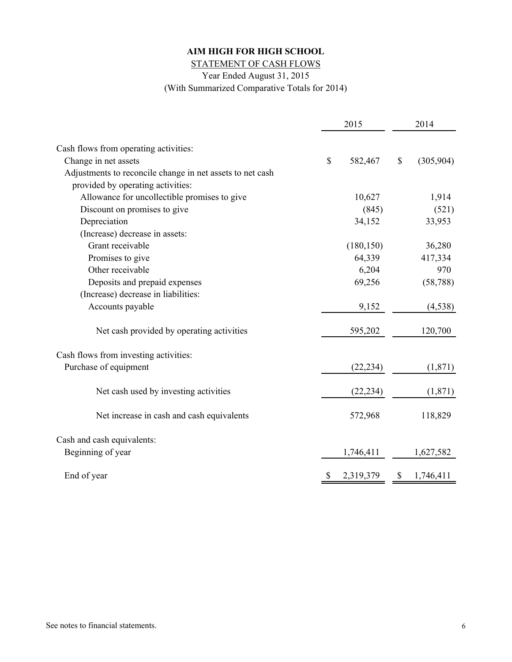STATEMENT OF CASH FLOWS

Year Ended August 31, 2015

(With Summarized Comparative Totals for 2014)

|                                                           | 2015 |            |               | 2014        |  |  |
|-----------------------------------------------------------|------|------------|---------------|-------------|--|--|
|                                                           |      |            |               |             |  |  |
| Cash flows from operating activities:                     |      |            |               |             |  |  |
| Change in net assets                                      | \$   | 582,467    | $\mathcal{S}$ | (305,904)   |  |  |
| Adjustments to reconcile change in net assets to net cash |      |            |               |             |  |  |
| provided by operating activities:                         |      |            |               |             |  |  |
| Allowance for uncollectible promises to give              |      | 10,627     |               | 1,914       |  |  |
| Discount on promises to give                              |      | (845)      |               | (521)       |  |  |
| Depreciation                                              |      | 34,152     |               | 33,953      |  |  |
| (Increase) decrease in assets:                            |      |            |               |             |  |  |
| Grant receivable                                          |      | (180, 150) |               | 36,280      |  |  |
| Promises to give                                          |      | 64,339     |               | 417,334     |  |  |
| Other receivable                                          |      | 6,204      |               | 970         |  |  |
| Deposits and prepaid expenses                             |      | 69,256     |               | (58, 788)   |  |  |
| (Increase) decrease in liabilities:                       |      |            |               |             |  |  |
| Accounts payable                                          |      | 9,152      |               | (4, 538)    |  |  |
| Net cash provided by operating activities                 |      | 595,202    |               | 120,700     |  |  |
| Cash flows from investing activities:                     |      |            |               |             |  |  |
| Purchase of equipment                                     |      | (22, 234)  |               | (1, 871)    |  |  |
| Net cash used by investing activities                     |      | (22, 234)  |               | (1, 871)    |  |  |
| Net increase in cash and cash equivalents                 |      | 572,968    |               | 118,829     |  |  |
| Cash and cash equivalents:                                |      |            |               |             |  |  |
| Beginning of year                                         |      | 1,746,411  |               | 1,627,582   |  |  |
|                                                           |      |            |               |             |  |  |
| End of year                                               |      | 2,319,379  |               | \$1,746,411 |  |  |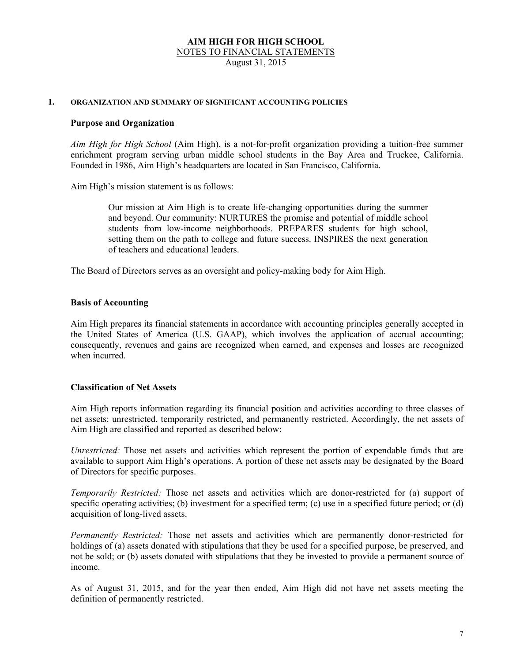August 31, 2015

#### **1. ORGANIZATION AND SUMMARY OF SIGNIFICANT ACCOUNTING POLICIES**

#### **Purpose and Organization**

*Aim High for High School* (Aim High), is a not-for-profit organization providing a tuition-free summer enrichment program serving urban middle school students in the Bay Area and Truckee, California. Founded in 1986, Aim High's headquarters are located in San Francisco, California.

Aim High's mission statement is as follows:

 Our mission at Aim High is to create life-changing opportunities during the summer and beyond. Our community: NURTURES the promise and potential of middle school students from low-income neighborhoods. PREPARES students for high school, setting them on the path to college and future success. INSPIRES the next generation of teachers and educational leaders.

The Board of Directors serves as an oversight and policy-making body for Aim High.

# **Basis of Accounting**

 Aim High prepares its financial statements in accordance with accounting principles generally accepted in the United States of America (U.S. GAAP), which involves the application of accrual accounting; consequently, revenues and gains are recognized when earned, and expenses and losses are recognized when incurred.

# **Classification of Net Assets**

Aim High reports information regarding its financial position and activities according to three classes of net assets: unrestricted, temporarily restricted, and permanently restricted. Accordingly, the net assets of Aim High are classified and reported as described below:

 *Unrestricted:* Those net assets and activities which represent the portion of expendable funds that are available to support Aim High's operations. A portion of these net assets may be designated by the Board of Directors for specific purposes.

 *Temporarily Restricted:* Those net assets and activities which are donor-restricted for (a) support of specific operating activities; (b) investment for a specified term; (c) use in a specified future period; or (d) acquisition of long-lived assets.

 *Permanently Restricted:* Those net assets and activities which are permanently donor-restricted for holdings of (a) assets donated with stipulations that they be used for a specified purpose, be preserved, and not be sold; or (b) assets donated with stipulations that they be invested to provide a permanent source of income.

As of August 31, 2015, and for the year then ended, Aim High did not have net assets meeting the definition of permanently restricted.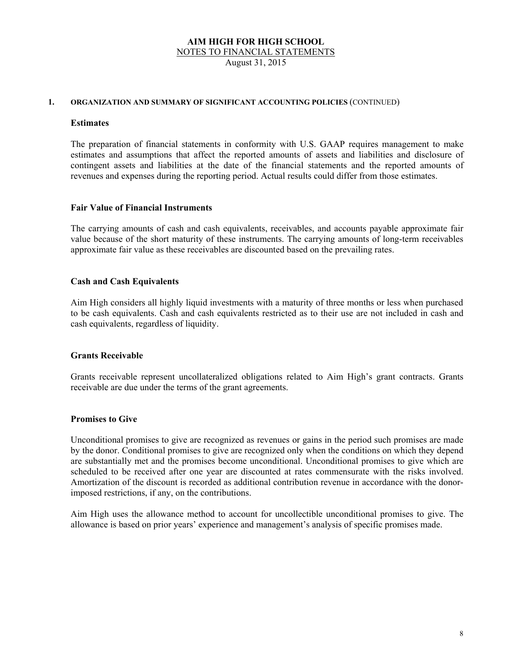August 31, 2015

#### **1. ORGANIZATION AND SUMMARY OF SIGNIFICANT ACCOUNTING POLICIES** (CONTINUED)

#### **Estimates**

 The preparation of financial statements in conformity with U.S. GAAP requires management to make estimates and assumptions that affect the reported amounts of assets and liabilities and disclosure of contingent assets and liabilities at the date of the financial statements and the reported amounts of revenues and expenses during the reporting period. Actual results could differ from those estimates.

#### **Fair Value of Financial Instruments**

 The carrying amounts of cash and cash equivalents, receivables, and accounts payable approximate fair value because of the short maturity of these instruments. The carrying amounts of long-term receivables approximate fair value as these receivables are discounted based on the prevailing rates.

# **Cash and Cash Equivalents**

 Aim High considers all highly liquid investments with a maturity of three months or less when purchased to be cash equivalents. Cash and cash equivalents restricted as to their use are not included in cash and cash equivalents, regardless of liquidity.

#### **Grants Receivable**

 Grants receivable represent uncollateralized obligations related to Aim High's grant contracts. Grants receivable are due under the terms of the grant agreements.

#### **Promises to Give**

 Unconditional promises to give are recognized as revenues or gains in the period such promises are made by the donor. Conditional promises to give are recognized only when the conditions on which they depend are substantially met and the promises become unconditional. Unconditional promises to give which are scheduled to be received after one year are discounted at rates commensurate with the risks involved. Amortization of the discount is recorded as additional contribution revenue in accordance with the donorimposed restrictions, if any, on the contributions.

 Aim High uses the allowance method to account for uncollectible unconditional promises to give. The allowance is based on prior years' experience and management's analysis of specific promises made.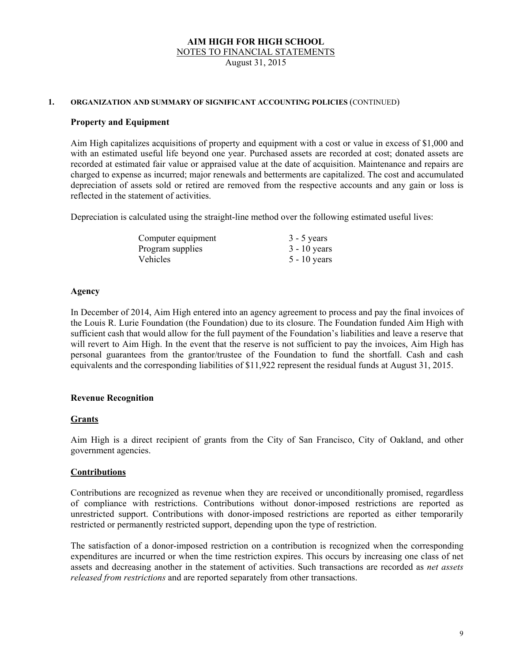NOTES TO FINANCIAL STATEMENTS

August 31, 2015

#### **1. ORGANIZATION AND SUMMARY OF SIGNIFICANT ACCOUNTING POLICIES** (CONTINUED)

# **Property and Equipment**

 Aim High capitalizes acquisitions of property and equipment with a cost or value in excess of \$1,000 and with an estimated useful life beyond one year. Purchased assets are recorded at cost; donated assets are recorded at estimated fair value or appraised value at the date of acquisition. Maintenance and repairs are charged to expense as incurred; major renewals and betterments are capitalized. The cost and accumulated depreciation of assets sold or retired are removed from the respective accounts and any gain or loss is reflected in the statement of activities.

Depreciation is calculated using the straight-line method over the following estimated useful lives:

| Computer equipment | $3 - 5$ years  |
|--------------------|----------------|
| Program supplies   | $3 - 10$ years |
| <b>Vehicles</b>    | $5 - 10$ years |

#### **Agency**

In December of 2014, Aim High entered into an agency agreement to process and pay the final invoices of the Louis R. Lurie Foundation (the Foundation) due to its closure. The Foundation funded Aim High with sufficient cash that would allow for the full payment of the Foundation's liabilities and leave a reserve that will revert to Aim High. In the event that the reserve is not sufficient to pay the invoices, Aim High has personal guarantees from the grantor/trustee of the Foundation to fund the shortfall. Cash and cash equivalents and the corresponding liabilities of \$11,922 represent the residual funds at August 31, 2015.

# **Revenue Recognition**

#### **Grants**

Aim High is a direct recipient of grants from the City of San Francisco, City of Oakland, and other government agencies.

#### **Contributions**

 Contributions are recognized as revenue when they are received or unconditionally promised, regardless of compliance with restrictions. Contributions without donor-imposed restrictions are reported as unrestricted support. Contributions with donor-imposed restrictions are reported as either temporarily restricted or permanently restricted support, depending upon the type of restriction.

 The satisfaction of a donor-imposed restriction on a contribution is recognized when the corresponding expenditures are incurred or when the time restriction expires. This occurs by increasing one class of net assets and decreasing another in the statement of activities. Such transactions are recorded as *net assets released from restrictions* and are reported separately from other transactions.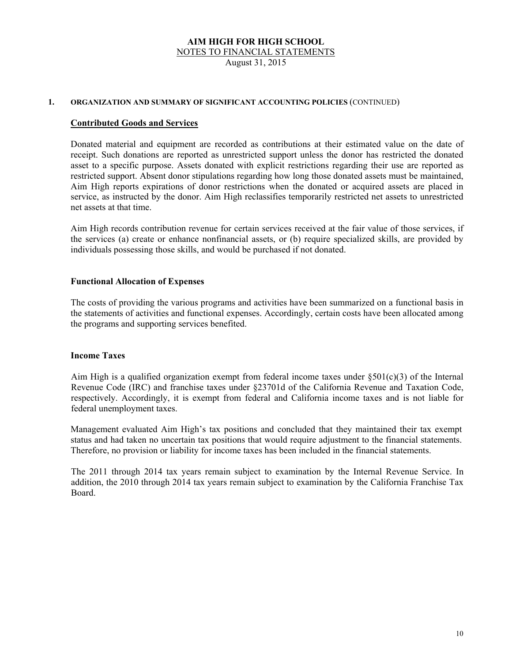NOTES TO FINANCIAL STATEMENTS

August 31, 2015

#### **1. ORGANIZATION AND SUMMARY OF SIGNIFICANT ACCOUNTING POLICIES** (CONTINUED)

#### **Contributed Goods and Services**

 Donated material and equipment are recorded as contributions at their estimated value on the date of receipt. Such donations are reported as unrestricted support unless the donor has restricted the donated asset to a specific purpose. Assets donated with explicit restrictions regarding their use are reported as restricted support. Absent donor stipulations regarding how long those donated assets must be maintained, Aim High reports expirations of donor restrictions when the donated or acquired assets are placed in service, as instructed by the donor. Aim High reclassifies temporarily restricted net assets to unrestricted net assets at that time.

Aim High records contribution revenue for certain services received at the fair value of those services, if the services (a) create or enhance nonfinancial assets, or (b) require specialized skills, are provided by individuals possessing those skills, and would be purchased if not donated.

# **Functional Allocation of Expenses**

The costs of providing the various programs and activities have been summarized on a functional basis in the statements of activities and functional expenses. Accordingly, certain costs have been allocated among the programs and supporting services benefited.

#### **Income Taxes**

Aim High is a qualified organization exempt from federal income taxes under  $\S501(c)(3)$  of the Internal Revenue Code (IRC) and franchise taxes under §23701d of the California Revenue and Taxation Code, respectively. Accordingly, it is exempt from federal and California income taxes and is not liable for federal unemployment taxes.

Management evaluated Aim High's tax positions and concluded that they maintained their tax exempt status and had taken no uncertain tax positions that would require adjustment to the financial statements. Therefore, no provision or liability for income taxes has been included in the financial statements.

The 2011 through 2014 tax years remain subject to examination by the Internal Revenue Service. In addition, the 2010 through 2014 tax years remain subject to examination by the California Franchise Tax Board.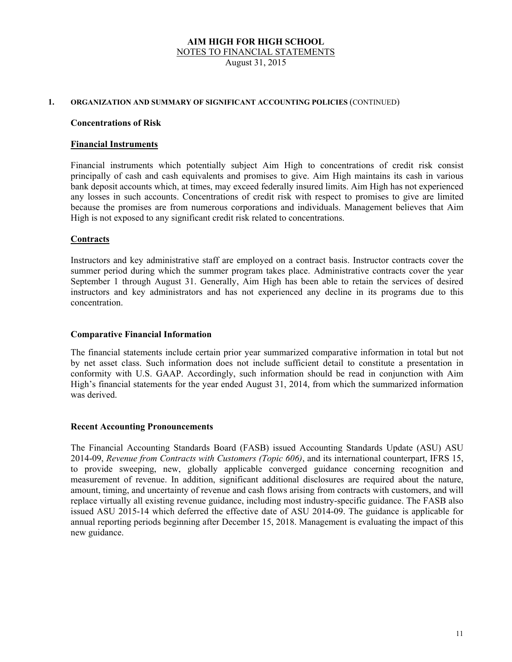NOTES TO FINANCIAL STATEMENTS

August 31, 2015

#### **1. ORGANIZATION AND SUMMARY OF SIGNIFICANT ACCOUNTING POLICIES** (CONTINUED)

#### **Concentrations of Risk**

#### **Financial Instruments**

Financial instruments which potentially subject Aim High to concentrations of credit risk consist principally of cash and cash equivalents and promises to give. Aim High maintains its cash in various bank deposit accounts which, at times, may exceed federally insured limits. Aim High has not experienced any losses in such accounts. Concentrations of credit risk with respect to promises to give are limited because the promises are from numerous corporations and individuals. Management believes that Aim High is not exposed to any significant credit risk related to concentrations.

# **Contracts**

 Instructors and key administrative staff are employed on a contract basis. Instructor contracts cover the summer period during which the summer program takes place. Administrative contracts cover the year September 1 through August 31. Generally, Aim High has been able to retain the services of desired instructors and key administrators and has not experienced any decline in its programs due to this concentration.

#### **Comparative Financial Information**

 The financial statements include certain prior year summarized comparative information in total but not by net asset class. Such information does not include sufficient detail to constitute a presentation in conformity with U.S. GAAP. Accordingly, such information should be read in conjunction with Aim High's financial statements for the year ended August 31, 2014, from which the summarized information was derived.

#### **Recent Accounting Pronouncements**

 The Financial Accounting Standards Board (FASB) issued Accounting Standards Update (ASU) ASU 2014-09, *Revenue from Contracts with Customers (Topic 606)*, and its international counterpart, IFRS 15, to provide sweeping, new, globally applicable converged guidance concerning recognition and measurement of revenue. In addition, significant additional disclosures are required about the nature, amount, timing, and uncertainty of revenue and cash flows arising from contracts with customers, and will replace virtually all existing revenue guidance, including most industry-specific guidance. The FASB also issued ASU 2015-14 which deferred the effective date of ASU 2014-09. The guidance is applicable for annual reporting periods beginning after December 15, 2018. Management is evaluating the impact of this new guidance.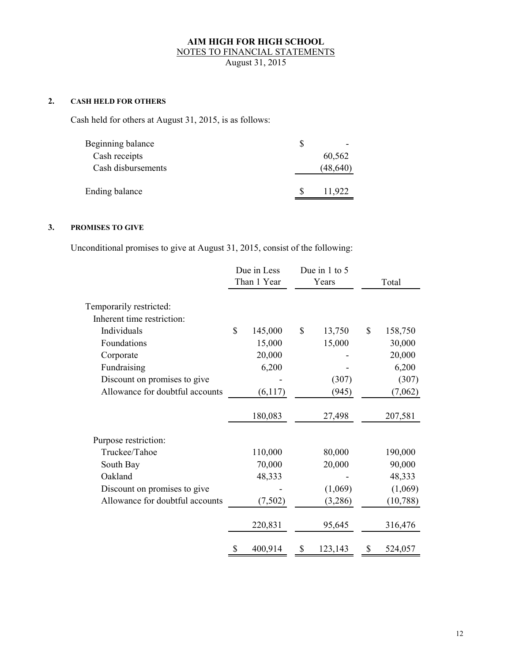August 31, 2015

# **2. CASH HELD FOR OTHERS**

Cash held for others at August 31, 2015, is as follows:

| Beginning balance  |           |
|--------------------|-----------|
| Cash receipts      | 60,562    |
| Cash disbursements | (48, 640) |
| Ending balance     | 11,922    |
|                    |           |

# **3. PROMISES TO GIVE**

Unconditional promises to give at August 31, 2015, consist of the following:

|                                 | Due in Less<br>Than 1 Year<br>Years |    | Due in 1 to 5 |    | Total     |
|---------------------------------|-------------------------------------|----|---------------|----|-----------|
| Temporarily restricted:         |                                     |    |               |    |           |
| Inherent time restriction:      |                                     |    |               |    |           |
| Individuals                     | \$<br>145,000                       | \$ | 13,750        | \$ | 158,750   |
| Foundations                     | 15,000                              |    | 15,000        |    | 30,000    |
| Corporate                       | 20,000                              |    |               |    | 20,000    |
| Fundraising                     | 6,200                               |    |               |    | 6,200     |
| Discount on promises to give    |                                     |    | (307)         |    | (307)     |
| Allowance for doubtful accounts | (6,117)                             |    | (945)         |    | (7,062)   |
|                                 | 180,083                             |    | 27,498        |    | 207,581   |
| Purpose restriction:            |                                     |    |               |    |           |
| Truckee/Tahoe                   | 110,000                             |    | 80,000        |    | 190,000   |
| South Bay                       | 70,000                              |    | 20,000        |    | 90,000    |
| Oakland                         | 48,333                              |    |               |    | 48,333    |
| Discount on promises to give    |                                     |    | (1,069)       |    | (1,069)   |
| Allowance for doubtful accounts | (7,502)                             |    | (3,286)       |    | (10, 788) |
|                                 | 220,831                             |    | 95,645        |    | 316,476   |
|                                 | \$<br>400,914                       | \$ | 123,143       | \$ | 524,057   |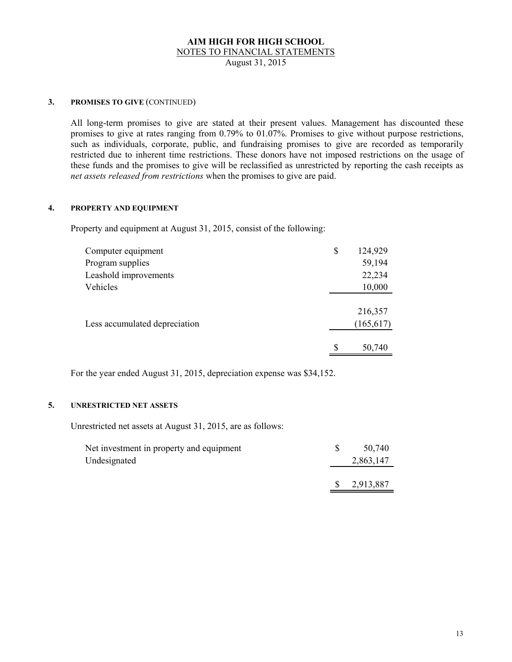August 31, 2015

# **3. PROMISES TO GIVE** (CONTINUED)

 All long-term promises to give are stated at their present values. Management has discounted these promises to give at rates ranging from 0.79% to 01.07%. Promises to give without purpose restrictions, such as individuals, corporate, public, and fundraising promises to give are recorded as temporarily restricted due to inherent time restrictions. These donors have not imposed restrictions on the usage of these funds and the promises to give will be reclassified as unrestricted by reporting the cash receipts as *net assets released from restrictions* when the promises to give are paid.

### **4. PROPERTY AND EQUIPMENT**

Property and equipment at August 31, 2015, consist of the following:

| Computer equipment            | \$<br>124,929 |
|-------------------------------|---------------|
| Program supplies              | 59,194        |
| Leashold improvements         | 22,234        |
| Vehicles                      | 10,000        |
|                               |               |
|                               | 216,357       |
| Less accumulated depreciation | (165, 617)    |
|                               |               |
|                               | \$<br>50,740  |

For the year ended August 31, 2015, depreciation expense was \$34,152.

# **5. UNRESTRICTED NET ASSETS**

Unrestricted net assets at August 31, 2015, are as follows:

| Net investment in property and equipment | 50,740    |
|------------------------------------------|-----------|
| Undesignated                             | 2,863,147 |
|                                          |           |
|                                          | 2,913,887 |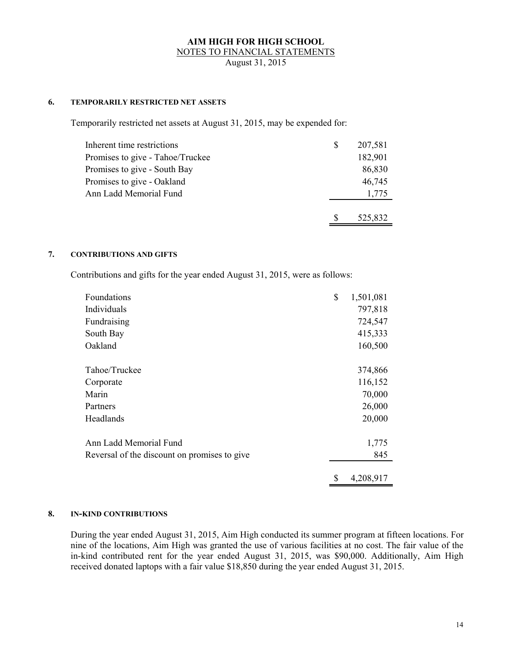August 31, 2015

# **6. TEMPORARILY RESTRICTED NET ASSETS**

Temporarily restricted net assets at August 31, 2015, may be expended for:

| 207,581 |
|---------|
| 182,901 |
| 86,830  |
| 46,745  |
| 1,775   |
| 525,832 |
|         |

#### **7. CONTRIBUTIONS AND GIFTS**

Contributions and gifts for the year ended August 31, 2015, were as follows:

| Foundations                                  | \$<br>1,501,081 |
|----------------------------------------------|-----------------|
| Individuals                                  | 797,818         |
| Fundraising                                  | 724,547         |
| South Bay                                    | 415,333         |
| Oakland                                      | 160,500         |
| Tahoe/Truckee                                | 374,866         |
| Corporate                                    | 116,152         |
| Marin                                        | 70,000          |
| Partners                                     | 26,000          |
| Headlands                                    | 20,000          |
| Ann Ladd Memorial Fund                       | 1,775           |
| Reversal of the discount on promises to give | 845             |
|                                              | \$<br>4,208,917 |

#### **8. IN-KIND CONTRIBUTIONS**

During the year ended August 31, 2015, Aim High conducted its summer program at fifteen locations. For nine of the locations, Aim High was granted the use of various facilities at no cost. The fair value of the in-kind contributed rent for the year ended August 31, 2015, was \$90,000. Additionally, Aim High received donated laptops with a fair value \$18,850 during the year ended August 31, 2015.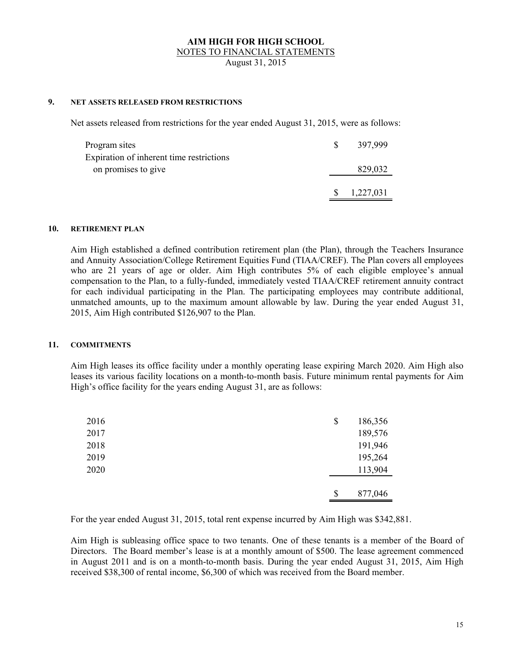NOTES TO FINANCIAL STATEMENTS

August 31, 2015

# **9. NET ASSETS RELEASED FROM RESTRICTIONS**

Net assets released from restrictions for the year ended August 31, 2015, were as follows:

| Program sites                            | 397,999   |
|------------------------------------------|-----------|
| Expiration of inherent time restrictions |           |
| on promises to give                      | 829,032   |
|                                          | 1,227,031 |

#### **10. RETIREMENT PLAN**

Aim High established a defined contribution retirement plan (the Plan), through the Teachers Insurance and Annuity Association/College Retirement Equities Fund (TIAA/CREF). The Plan covers all employees who are 21 years of age or older. Aim High contributes 5% of each eligible employee's annual compensation to the Plan, to a fully-funded, immediately vested TIAA/CREF retirement annuity contract for each individual participating in the Plan. The participating employees may contribute additional, unmatched amounts, up to the maximum amount allowable by law. During the year ended August 31, 2015, Aim High contributed \$126,907 to the Plan.

#### **11. COMMITMENTS**

 Aim High leases its office facility under a monthly operating lease expiring March 2020. Aim High also leases its various facility locations on a month-to-month basis. Future minimum rental payments for Aim High's office facility for the years ending August 31, are as follows:

| 2016 | \$<br>186,356 |
|------|---------------|
| 2017 | 189,576       |
| 2018 | 191,946       |
| 2019 | 195,264       |
| 2020 | 113,904       |
|      |               |
|      | \$<br>877,046 |

For the year ended August 31, 2015, total rent expense incurred by Aim High was \$342,881.

 Aim High is subleasing office space to two tenants. One of these tenants is a member of the Board of Directors. The Board member's lease is at a monthly amount of \$500. The lease agreement commenced in August 2011 and is on a month-to-month basis. During the year ended August 31, 2015, Aim High received \$38,300 of rental income, \$6,300 of which was received from the Board member.